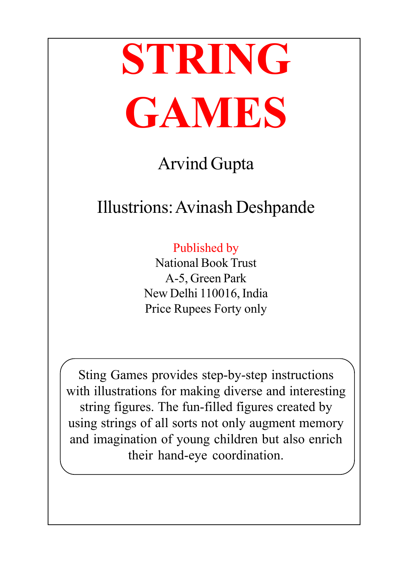# STRING GAMES

## Arvind Gupta

## Illustrions: Avinash Deshpande

### Published by

National Book Trust A-5, Green Park New Delhi 110016, India Price Rupees Forty only

Sting Games provides step-by-step instructions with illustrations for making diverse and interesting string figures. The fun-filled figures created by using strings of all sorts not only augment memory and imagination of young children but also enrich their hand-eye coordination.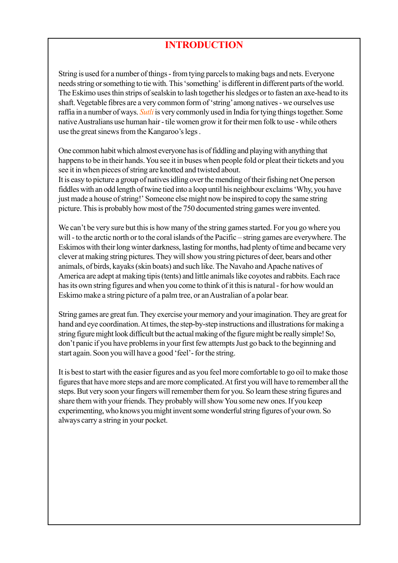#### INTRODUCTION

String is used for a number of things - from tying parcels to making bags and nets. Everyone needs string or something to tie with. This 'something' is different in different parts of the world. The Eskimo uses thin strips of sealskin to lash together his sledges or to fasten an axe-head to its shaft. Vegetable fibres are a very common form of 'string' among natives - we ourselves use raffia in a number of ways. Sutli is very commonly used in India for tying things together. Some native Australians use human hair - tile women grow it for their men folk to use - while others use the great sinews from the Kangaroo's legs .

One common habit which almost everyone has is of fiddling and playing with anything that happens to be in their hands. You see it in buses when people fold or pleat their tickets and you see it in when pieces of string are knotted and twisted about.

It is easy to picture a group of natives idling over the mending of their fishing net One person fiddles with an odd length of twine tied into a loop until his neighbour exclaims 'Why, you have just made a house of string!' Someone else might now be inspired to copy the same string picture. This is probably how most of the 750 documented string games were invented.

We can't be very sure but this is how many of the string games started. For you go where you will - to the arctic north or to the coral islands of the Pacific – string games are everywhere. The Eskimos with their long winter darkness, lasting for months, had plenty of time and became very clever at making string pictures. They will show you string pictures of deer, bears and other animals, of birds, kayaks (skin boats) and such like. The Navaho and Apache natives of America are adept at making tipis (tents) and little animals like coyotes and rabbits. Each race has its own string figures and when you come to think of it this is natural - for how would an Eskimo make a string picture of a palm tree, or an Australian of a polar bear.

String games are great fun. They exercise your memory and your imagination. They are great for hand and eye coordination. At times, the step-by-step instructions and illustrations for making a string figure might look difficult but the actual making of the figure might be really simple! So, don't panic if you have problems in your first few attempts Just go back to the beginning and start again. Soon you will have a good 'feel'- for the string.

It is best to start with the easier figures and as you feel more comfortable to go oil to make those figures that have more steps and are more complicated. At first you will have to remember all the steps. But very soon your fingers will remember them for you. So learn these string figures and share them with your friends. They probably will show You some new ones. If you keep experimenting, who knows you might invent some wonderful string figures of your own. So always carry a string in your pocket.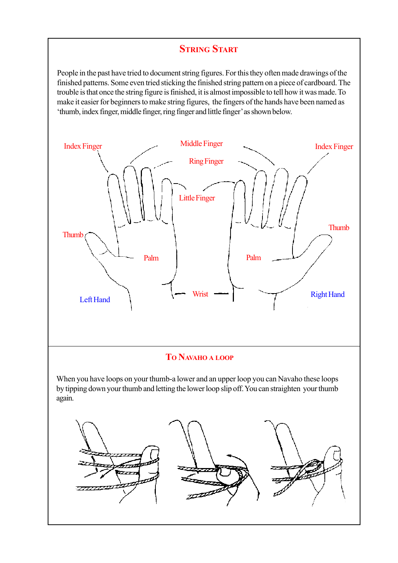#### **STRING START**

People in the past have tried to document string figures. For this they often made drawings of the finished patterns. Some even tried sticking the finished string pattern on a piece of cardboard. The trouble is that once the string figure is finished, it is almost impossible to tell how it was made. To make it easier for beginners to make string figures, the fingers of the hands have been named as 'thumb, index finger, middle finger, ring finger and little finger' as shown below.



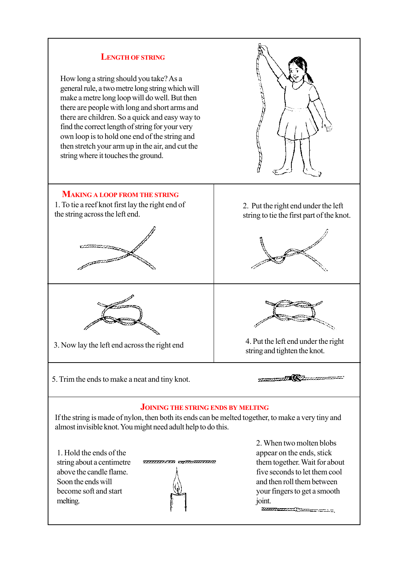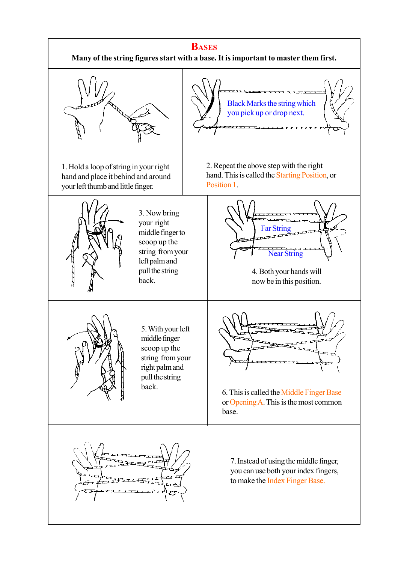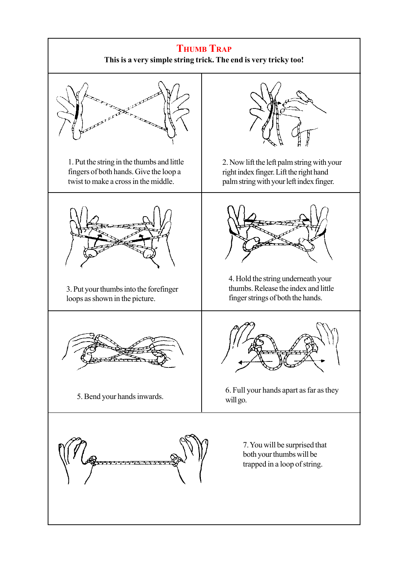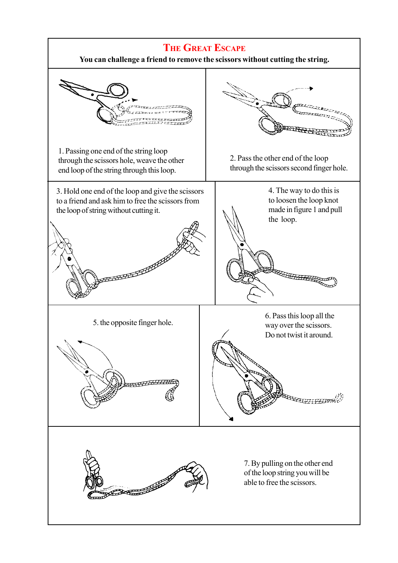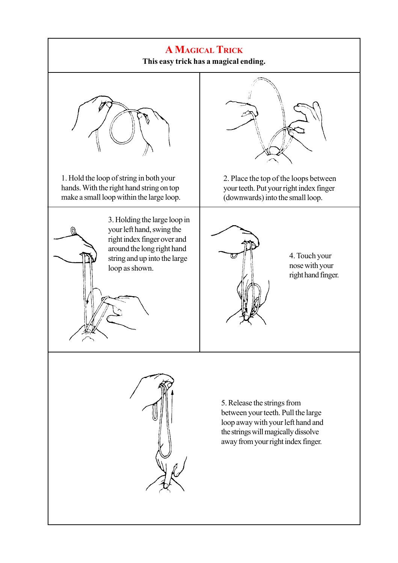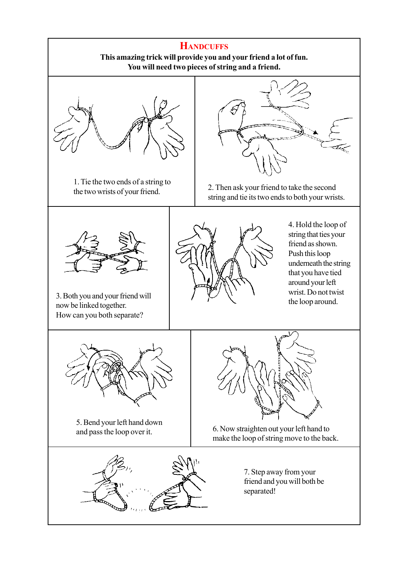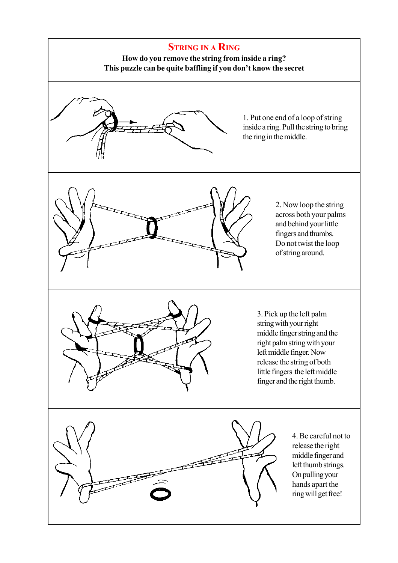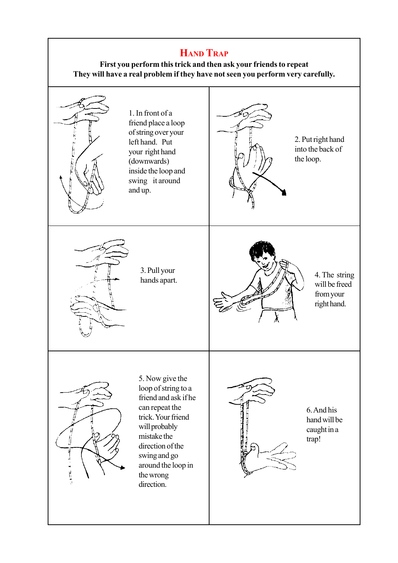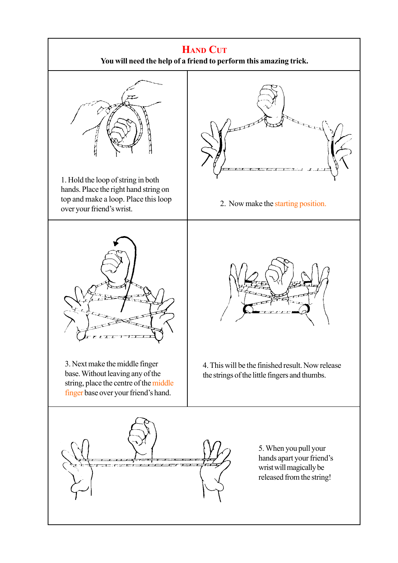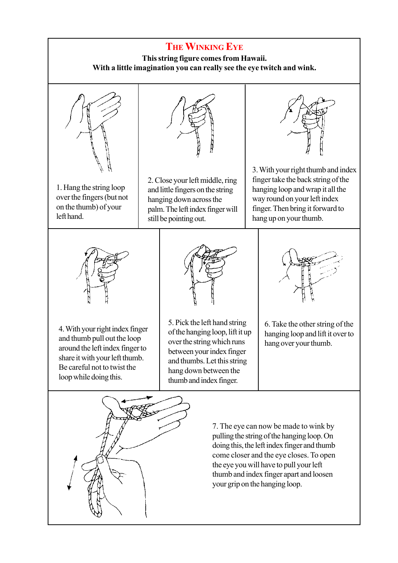#### THE WINKING EYE

This string figure comes from Hawaii. With a little imagination you can really see the eye twitch and wink.



1. Hang the string loop over the fingers (but not on the thumb) of your left hand.



2. Close your left middle, ring and little fingers on the string hanging down across the palm. The left index finger will still be pointing out.



3. With your right thumb and index finger take the back string of the hanging loop and wrap it all the way round on your left index finger. Then bring it forward to hang up on your thumb.



4. With your right index finger and thumb pull out the loop around the left index finger to share it with your left thumb. Be careful not to twist the loop while doing this.



5. Pick the left hand string of the hanging loop, lift it up over the string which runs between your index finger and thumbs. Let this string hang down between the thumb and index finger.



6. Take the other string of the hanging loop and lift it over to hang over your thumb.



7. The eye can now be made to wink by pulling the string of the hanging loop. On doing this, the left index finger and thumb come closer and the eye closes. To open the eye you will have to pull your left thumb and index finger apart and loosen your grip on the hanging loop.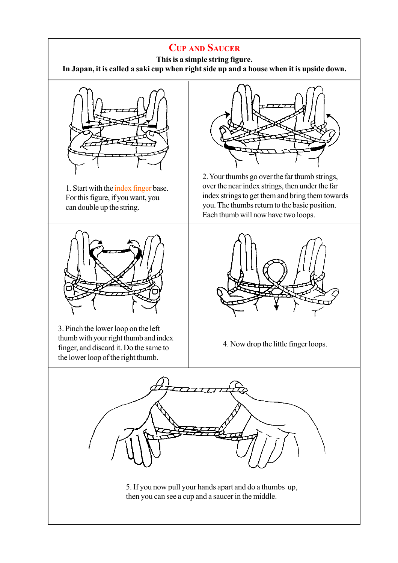#### CUP AND SAUCER

This is a simple string figure. In Japan, it is called a saki cup when right side up and a house when it is upside down.



1. Start with the index finger base. For this figure, if you want, you can double up the string.



3. Pinch the lower loop on the left thumb with your right thumb and index finger, and discard it. Do the same to the lower loop of the right thumb.



2. Your thumbs go over the far thumb strings, over the near index strings, then under the far index strings to get them and bring them towards you. The thumbs return to the basic position. Each thumb will now have two loops.



4. Now drop the little finger loops.



5. If you now pull your hands apart and do a thumbs up, then you can see a cup and a saucer in the middle.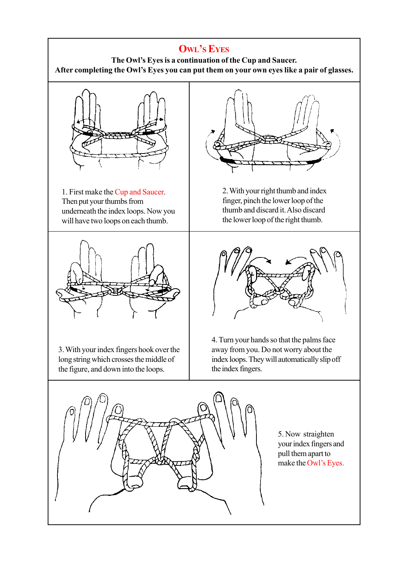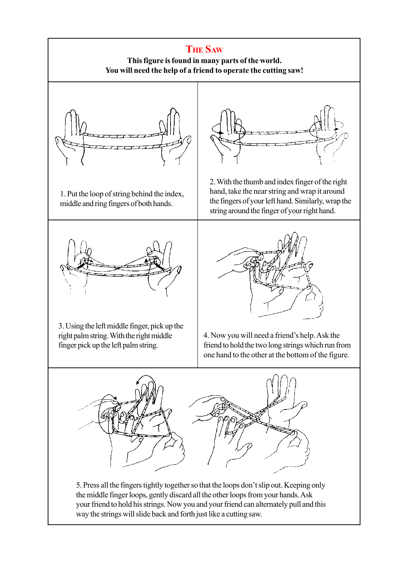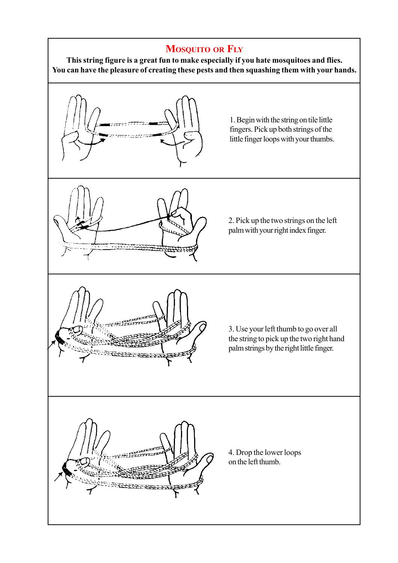#### MOSOUITO OR FLY

This string figure is a great fun to make especially if you hate mosquitoes and flies. You can have the pleasure of creating these pests and then squashing them with your hands.

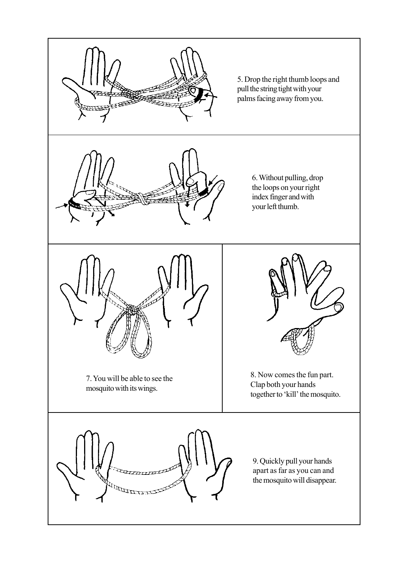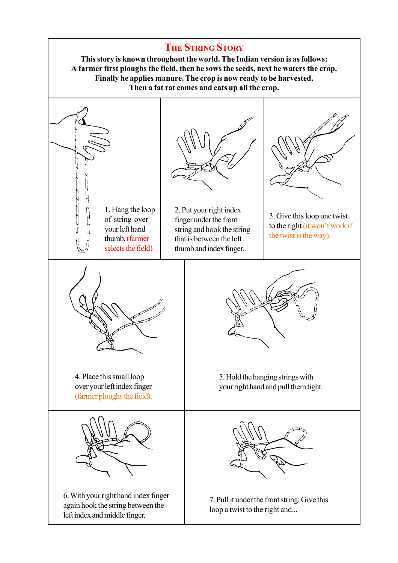#### **THE STRING STORY**

This story is known throughout the world. The Indian version is as follows: A farmer first ploughs the field, then he sows the seeds, next he waters the crop. Finally he applies manure. The crop is now ready to be harvested. Then a fat rat comes and eats up all the crop.

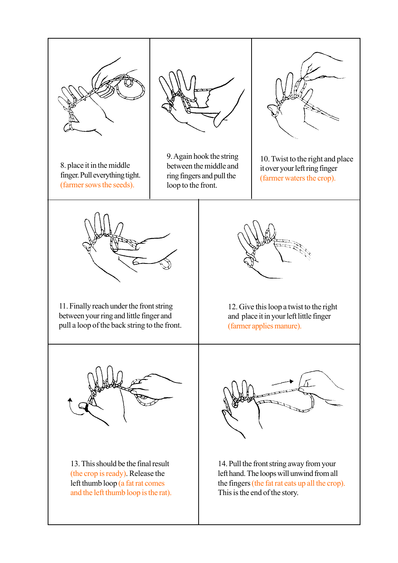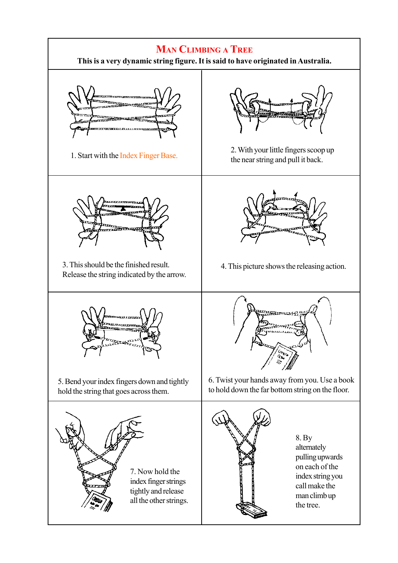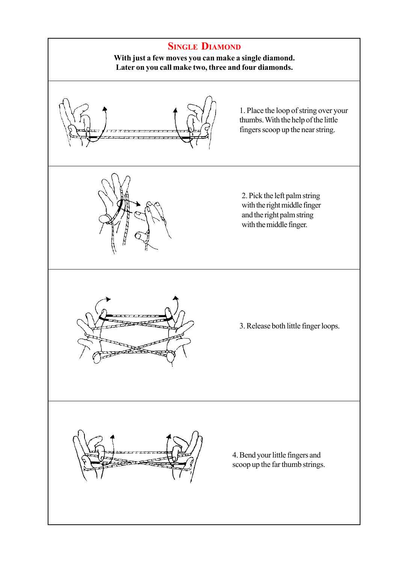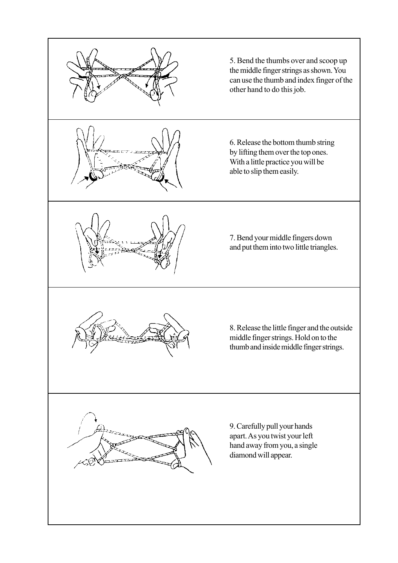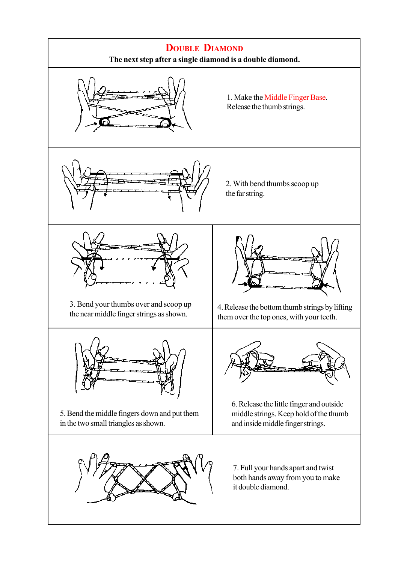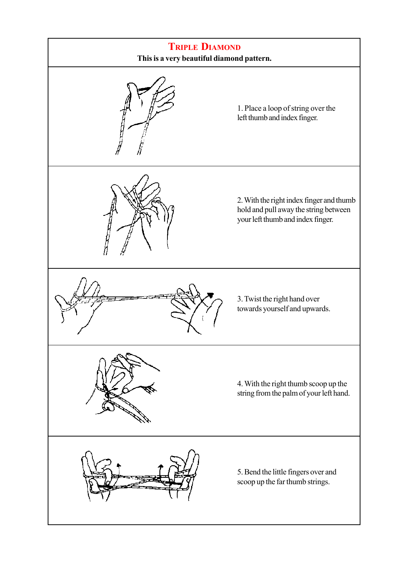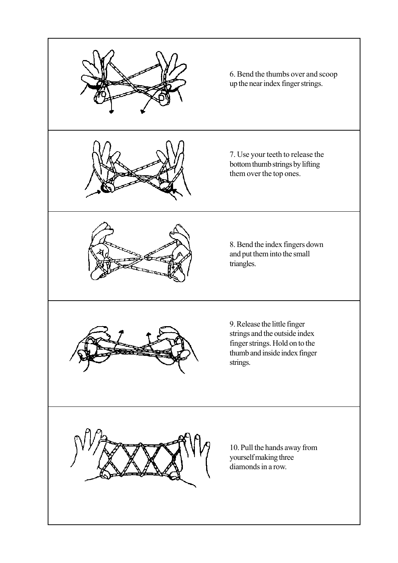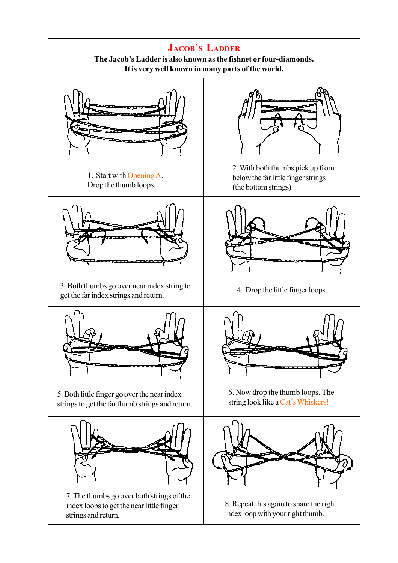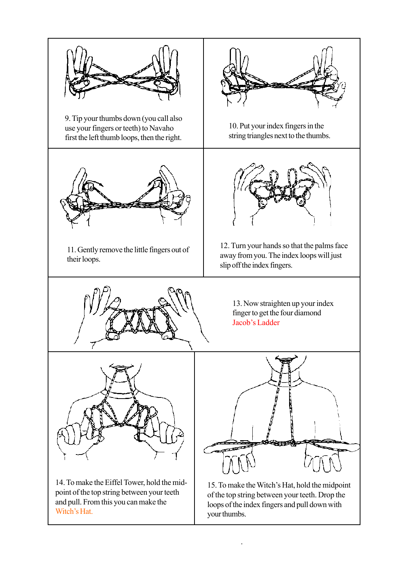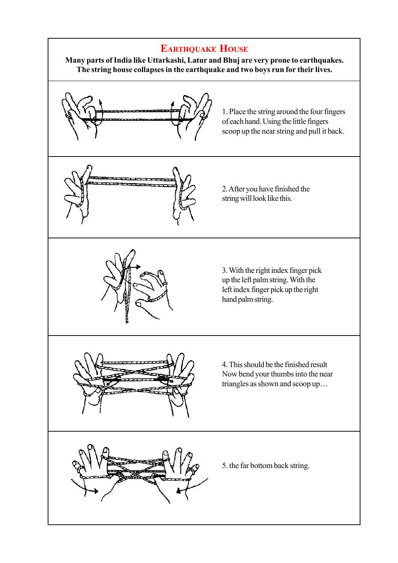#### EARTHQUAKE HOUSE

Many parts of India like Uttarkashi, Latur and Bhuj are very prone to earthquakes. The string house collapses in the earthquake and two boys run for their lives.

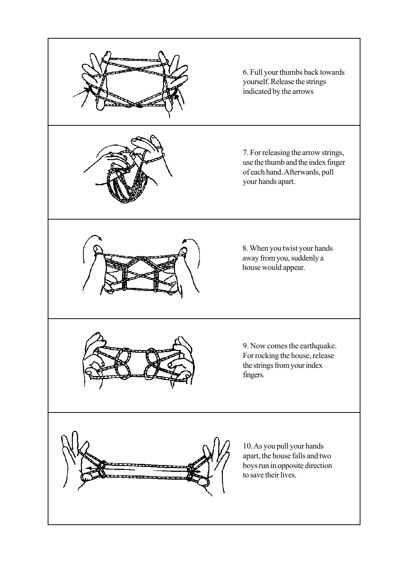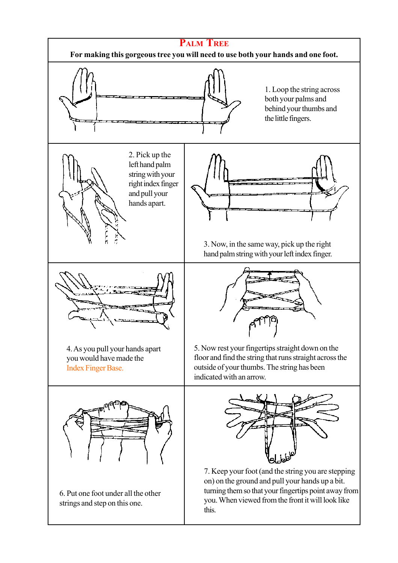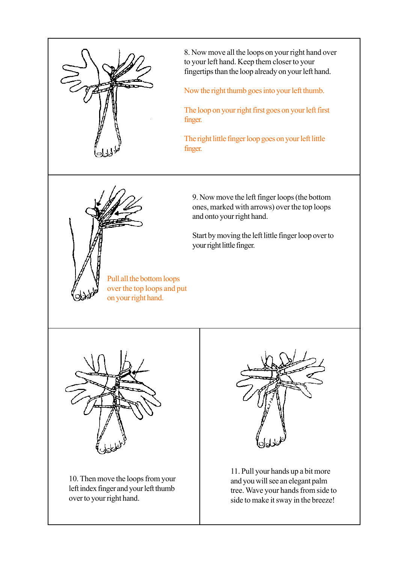



10. Then move the loops from your left index finger and your left thumb over to your right hand.



11. Pull your hands up a bit more and you will see an elegant palm tree. Wave your hands from side to side to make it sway in the breeze!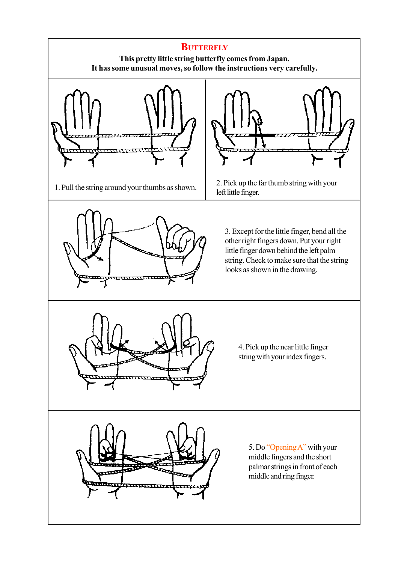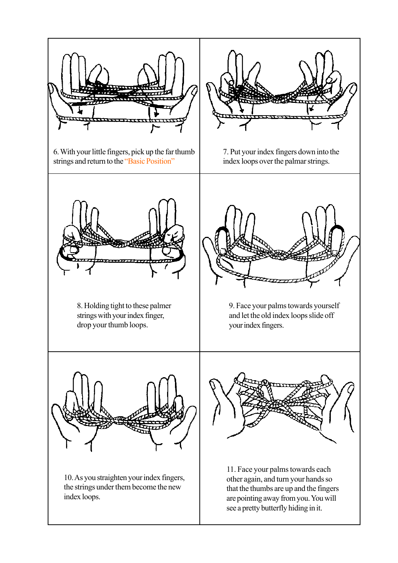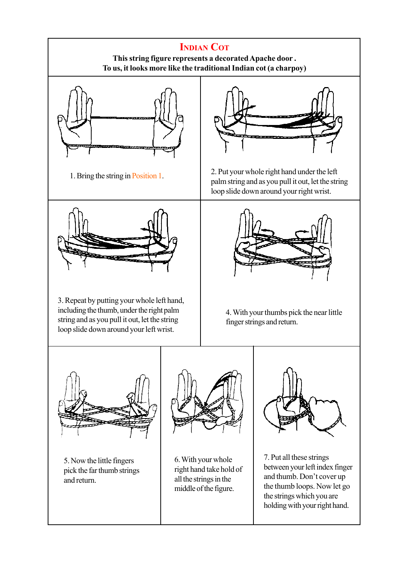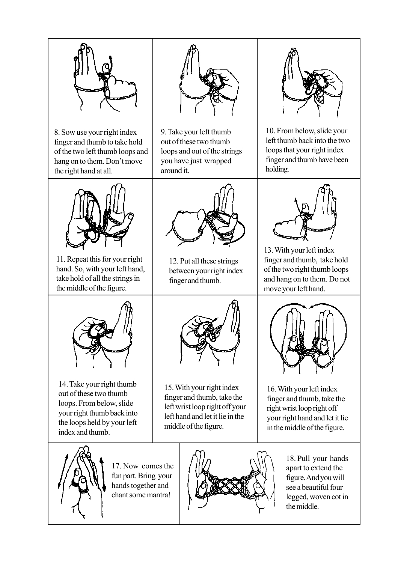

8. Sow use your right index finger and thumb to take hold of the two left thumb loops and hang on to them. Don't move the right hand at all.



11. Repeat this for your right hand. So, with your left hand, take hold of all the strings in the middle of the figure.



14. Take your right thumb out of these two thumb loops. From below, slide your right thumb back into the loops held by your left index and thumb.



9. Take your left thumb out of these two thumb loops and out of the strings you have just wrapped around it.



12. Put all these strings between your right index finger and thumb.



15. With your right index finger and thumb, take the left wrist loop right off your left hand and let it lie in the middle of the figure.



10. From below, slide your left thumb back into the two loops that your right index finger and thumb have been holding.



13. With your left index finger and thumb, take hold of the two right thumb loops and hang on to them. Do not move your left hand.



16. With your left index finger and thumb, take the right wrist loop right off your right hand and let it lie in the middle of the figure.



17. Now comes the fun part. Bring your hands together and chant some mantra!



18. Pull your hands apart to extend the figure. And you will see a beautiful four legged, woven cot in the middle.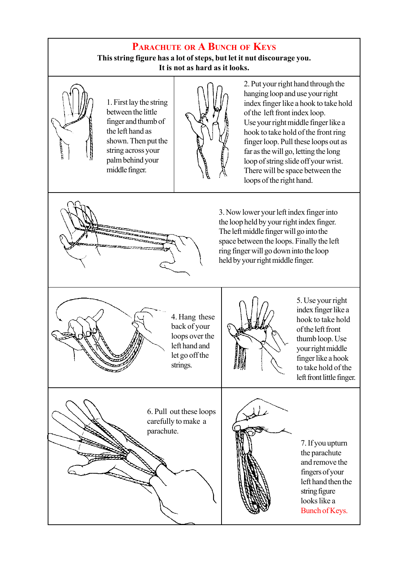#### PARACHUTE OR A BUNCH OF KEYS

#### This string figure has a lot of steps, but let it nut discourage you. It is not as hard as it looks.



1. First lay the string between the little finger and thumb of the left hand as shown. Then put the string across your palm behind your middle finger.



2. Put your right hand through the hanging loop and use your right index finger like a hook to take hold of the left front index loop. Use your right middle finger like a hook to take hold of the front ring finger loop. Pull these loops out as far as the will go, letting the long loop of string slide off your wrist. There will be space between the loops of the right hand.

3. Now lower your left index finger into the loop held by your right index finger. The left middle finger will go into the space between the loops. Finally the left ring finger will go down into the loop held by your right middle finger.



4. Hang these back of your loops over the left hand and let go off the strings.



5. Use your right index finger like a hook to take hold of the left front thumb loop. Use your right middle finger like a hook to take hold of the left front little finger.

6. Pull out these loops carefully to make a parachute.

7. If you upturn the parachute and remove the fingers of your left hand then the string figure looks like a Bunch of Keys.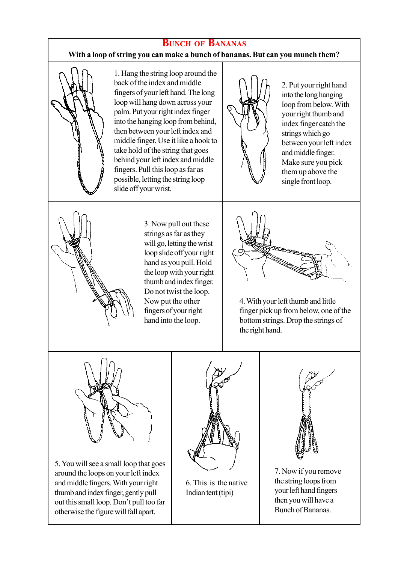#### BUNCH OF BANANAS

#### With a loop of string you can make a bunch of bananas. But can you munch them?



1. Hang the string loop around the back of the index and middle fingers of your left hand. The long loop will hang down across your palm. Put your right index finger into the hanging loop from behind, then between your left index and middle finger. Use it like a hook to take hold of the string that goes behind your left index and middle fingers. Pull this loop as far as possible, letting the string loop slide off your wrist.



2. Put your right hand into the long hanging loop from below. With your right thumb and index finger catch the strings which go between your left index and middle finger. Make sure you pick them up above the single front loop.



3. Now pull out these strings as far as they will go, letting the wrist loop slide off your right hand as you pull. Hold the loop with your right thumb and index finger. Do not twist the loop. Now put the other fingers of your right hand into the loop.



4. With your left thumb and little finger pick up from below, one of the bottom strings. Drop the strings of the right hand.



5. You will see a small loop that goes around the loops on your left index and middle fingers. With your right thumb and index finger, gently pull out this small loop. Don't pull too far otherwise the figure will fall apart.



6. This is the native Indian tent (tipi)



7. Now if you remove the string loops from your left hand fingers then you will have a Bunch of Bananas.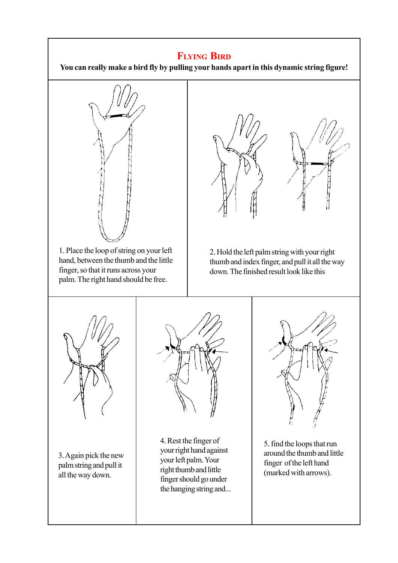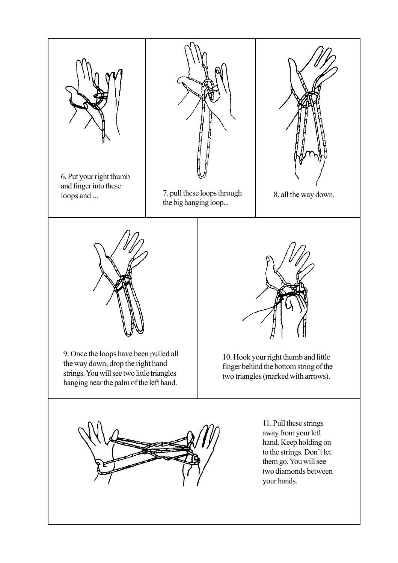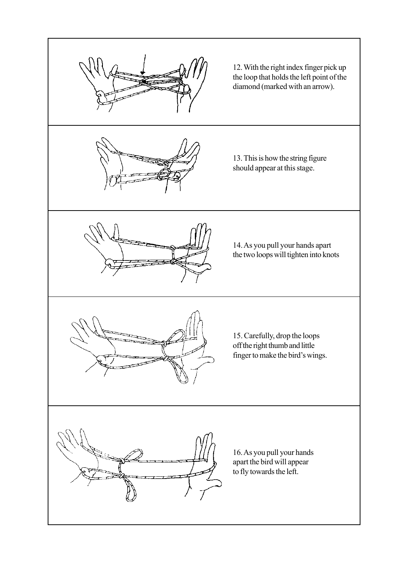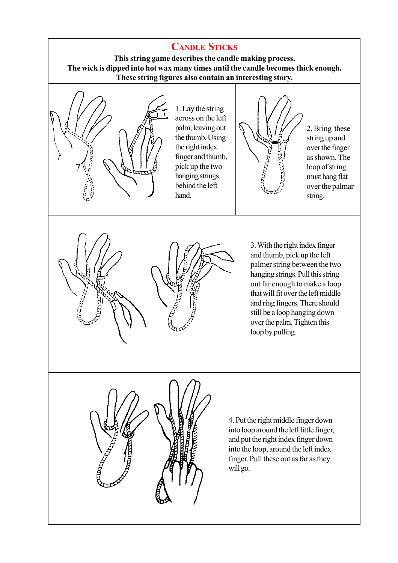#### **CANDLE STICKS**

This string game describes the candle making process. The wick is dipped into hot wax many times until the candle becomes thick enough. These string figures also contain an interesting story.



1. Lay the string across on the left palm, leaving out the thumb. Using the right index finger and thumb, pick up the two hanging strings behind the left hand.



2. Bring these string up and over the finger as shown. The loop of string must hang flat over the palmar string.



3. With the right index finger and thumb, pick up the left palmer string between the two hanging strings. Pull this string out far enough to make a loop that will fit over the left middle and ring fingers. There should still be a loop hanging down over the palm. Tighten this loop by pulling.



4. Put the right middle finger down into loop around the left little finger, and put the right index finger down into the loop, around the left index finger. Pull these out as far as they will go.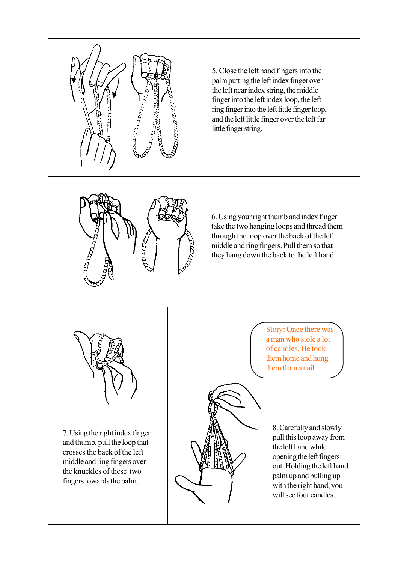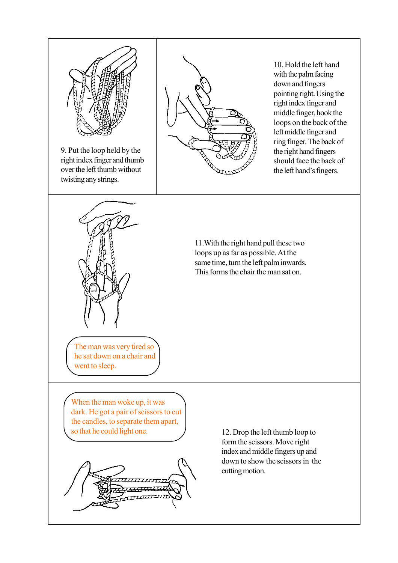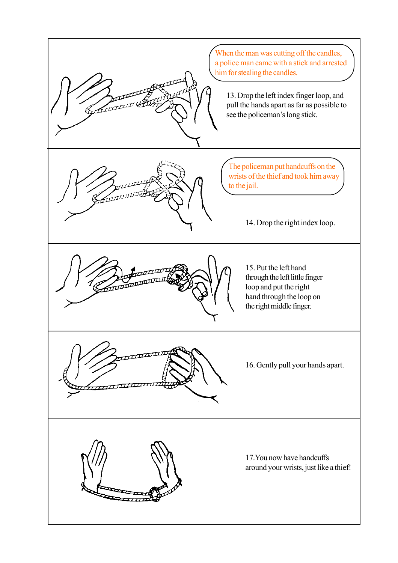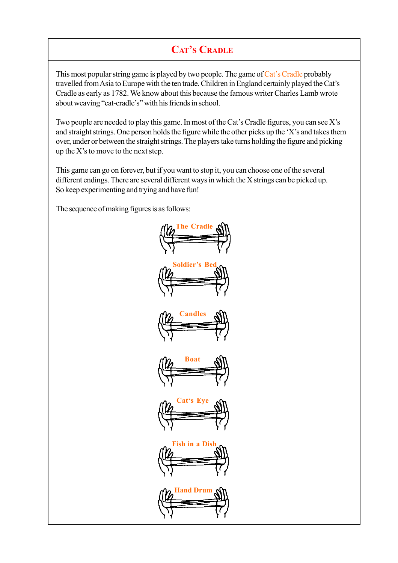#### CAT'S CRADLE

This most popular string game is played by two people. The game of Cat's Cradle probably travelled from Asia to Europe with the ten trade. Children in England certainly played the Cat's Cradle as early as 1782. We know about this because the famous writer Charles Lamb wrote about weaving "cat-cradle's" with his friends in school.

Two people are needed to play this game. In most of the Cat's Cradle figures, you can see X's and straight strings. One person holds the figure while the other picks up the 'X's and takes them over, under or between the straight strings. The players take turns holding the figure and picking up the X's to move to the next step.

This game can go on forever, but if you want to stop it, you can choose one of the several different endings. There are several different ways in which the X strings can be picked up. So keep experimenting and trying and have fun!

The sequence of making figures is as follows:

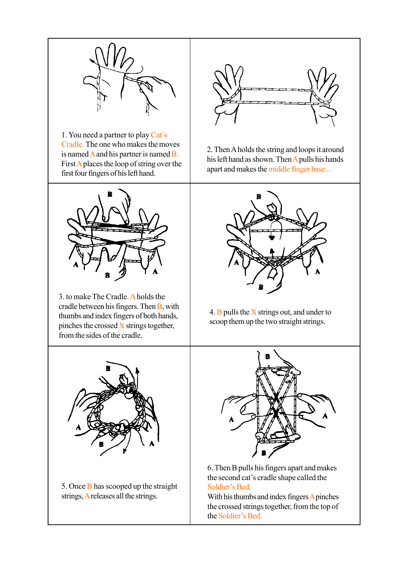

1. You need a partner to play Cat's Cradle. The one who makes the moves is named  $\overline{A}$  and his partner is named  $\overline{B}$ . First A places the loop of string over the first four fingers of his left hand.



3. to make The Cradle. A holds the cradle between his fingers. Then B, with thumbs and index fingers of both hands, pinches the crossed  $\bar{X}$  strings together, from the sides of the cradle.



2. Then A holds the string and loops it around his left hand as shown. Then A pulls his hands apart and makes the middle finger base...



4. B pulls the X strings out, and under to scoop them up the two straight strings.



5. Once B has scooped up the straight strings, A releases all the strings.



6. Then B pulls his fingers apart and makes the second cat's cradle shape called the Soldier's Bed.

With his thumbs and index fingers A pinches the crossed strings together, from the top of the Soldier's Bed.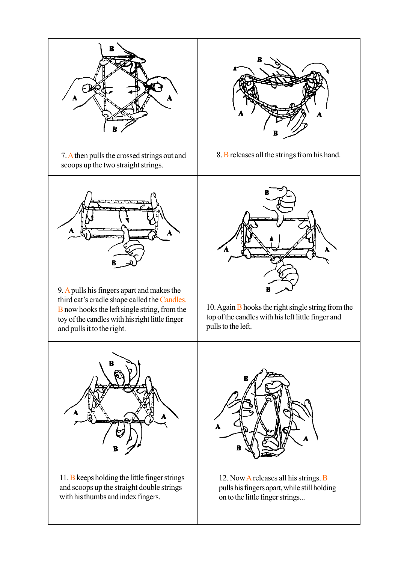

11. B keeps holding the little finger strings and scoops up the straight double strings with his thumbs and index fingers.



8. B releases all the strings from his hand.



10. Again B hooks the right single string from the top of the candles with his left little finger and pulls to the left.



12. Now A releases all his strings. B pulls his fingers apart, while still holding on to the little finger strings...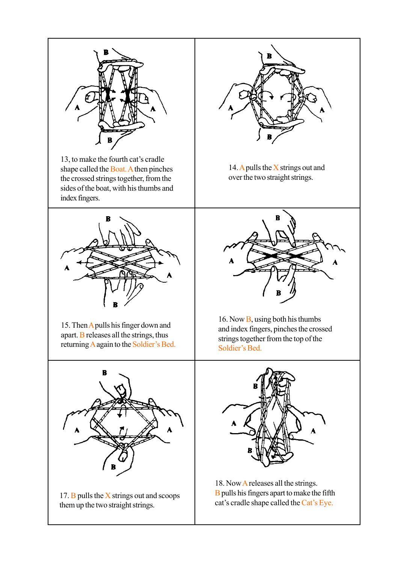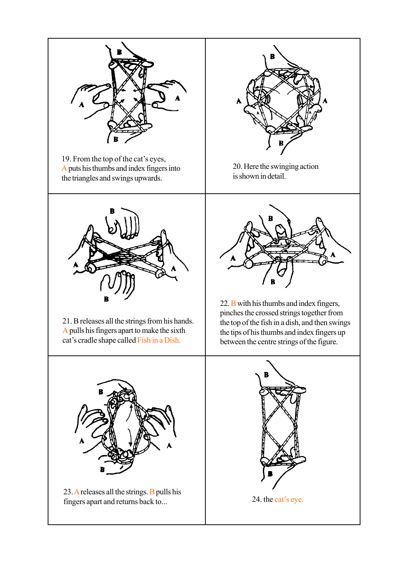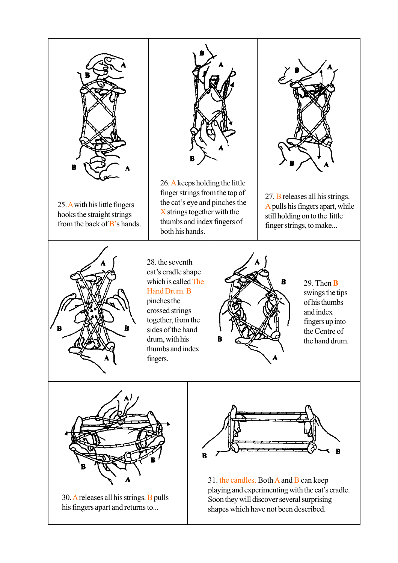

25. A with his little fingers hooks the straight strings from the back of B's hands.



26. A keeps holding the little finger strings from the top of the cat's eye and pinches the X strings together with the thumbs and index fingers of both his hands.



27. B releases all his strings. A pulls his fingers apart, while still holding on to the little finger strings, to make...



28. the seventh cat's cradle shape which is called The Hand Drum. B pinches the crossed strings together, from the sides of the hand drum, with his thumbs and index fingers.



29. Then B swings the tips of his thumbs and index fingers up into the Centre of the hand drum.



30. A releases all his strings. B pulls his fingers apart and returns to...



31. the candles. Both A and B can keep playing and experimenting with the cat's cradle. Soon they will discover several surprising shapes which have not been described.